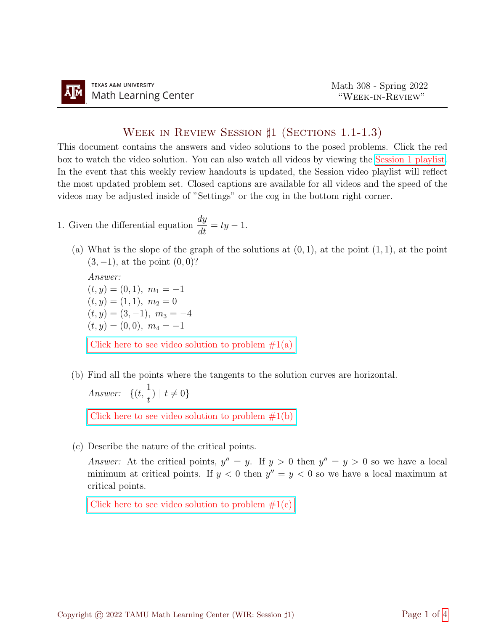## WEEK IN REVIEW SESSION  $\sharp$ 1 (SECTIONS 1.1-1.3)

This document contains the answers and video solutions to the posed problems. Click the red box to watch the video solution. You can also watch all videos by viewing the [Session 1 playlist.](https://youtube.com/playlist?list=PLwFg2cC3rFdlNh8teYMEMF7Mh_4c0QtVm) In the event that this weekly review handouts is updated, the Session video playlist will reflect the most updated problem set. Closed captions are available for all videos and the speed of the videos may be adjusted inside of "Settings" or the cog in the bottom right corner.

- 1. Given the differential equation  $\frac{dy}{dt} = ty 1$ .
	- (a) What is the slope of the graph of the solutions at  $(0, 1)$ , at the point  $(1, 1)$ , at the point  $(3, -1)$ , at the point  $(0, 0)$ ?

Answer:  
\n
$$
(t, y) = (0, 1), m_1 = -1
$$
  
\n $(t, y) = (1, 1), m_2 = 0$   
\n $(t, y) = (3, -1), m_3 = -4$   
\n $(t, y) = (0, 0), m_4 = -1$   
\nClick here to see video solution to problem #1(a)

(b) Find all the points where the tangents to the solution curves are horizontal. Answer:  $\{(t, \frac{1}{t})\}$ t )  $| t \neq 0 \}$ 

Click here to see video solution to problem  $#1(b)$ 

(c) Describe the nature of the critical points.

Answer: At the critical points,  $y'' = y$ . If  $y > 0$  then  $y'' = y > 0$  so we have a local minimum at critical points. If  $y < 0$  then  $y'' = y < 0$  so we have a local maximum at critical points.

Click here to see video solution to problem  $#1(c)$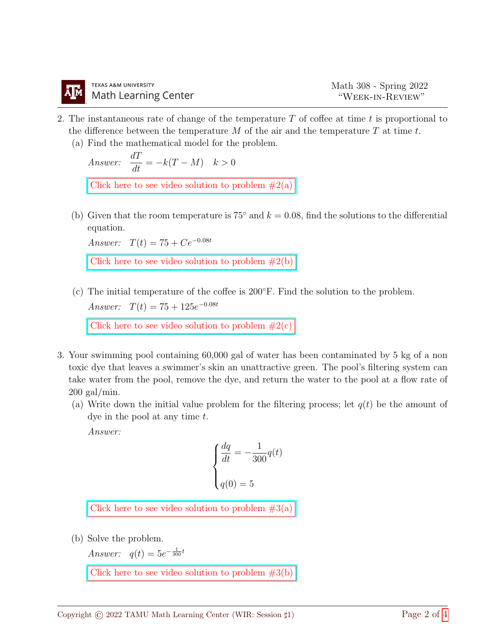- 2. The instantaneous rate of change of the temperature  $T$  of coffee at time t is proportional to the difference between the temperature  $M$  of the air and the temperature  $T$  at time  $t$ .
	- (a) Find the mathematical model for the problem.

Answer: 
$$
\frac{dT}{dt} = -k(T - M) \quad k > 0
$$
   
Click here to see video solution to problem #2(a)

(b) Given that the room temperature is 75° and  $k = 0.08$ , find the solutions to the differential equation.

Answer:  $T(t) = 75 + Ce^{-0.08t}$ 

Click here to see video solution to problem  $#2(b)$ 

(c) The initial temperature of the coffee is 200◦F. Find the solution to the problem. Answer:  $T(t) = 75 + 125e^{-0.08t}$ 

Click here to see video solution to problem  $#2(c)$ 

- 3. Your swimming pool containing 60,000 gal of water has been contaminated by 5 kg of a non toxic dye that leaves a swimmer's skin an unattractive green. The pool's filtering system can take water from the pool, remove the dye, and return the water to the pool at a flow rate of  $200 \text{ gal/min}.$ 
	- (a) Write down the initial value problem for the filtering process; let  $q(t)$  be the amount of dye in the pool at any time  $t$ .

Answer:

$$
\begin{cases} \frac{dq}{dt} = -\frac{1}{300}q(t) \\ \\ q(0) = 5 \end{cases}
$$

Click here to see video solution to problem  $#3(a)$ 

(b) Solve the problem.

Answer:  $q(t) = 5e^{-\frac{1}{300}t}$ 

Click here to see video solution to problem  $#3(b)$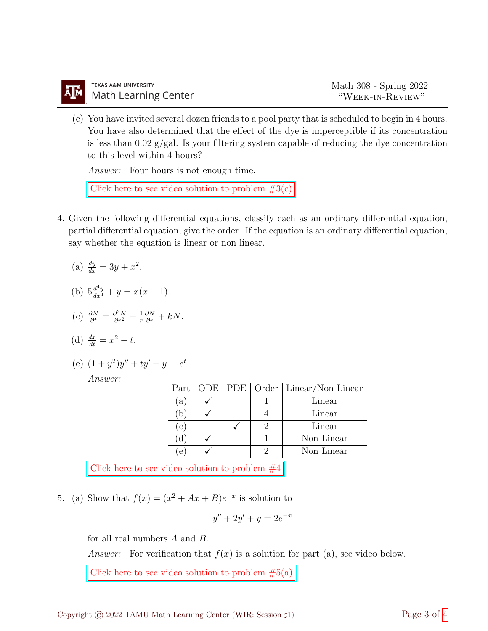(c) You have invited several dozen friends to a pool party that is scheduled to begin in 4 hours. You have also determined that the effect of the dye is imperceptible if its concentration is less than  $0.02 \text{ g/gal}$ . Is your filtering system capable of reducing the dye concentration to this level within 4 hours?

Answer: Four hours is not enough time.

Click here to see video solution to problem  $#3(c)$ 

4. Given the following differential equations, classify each as an ordinary differential equation, partial differential equation, give the order. If the equation is an ordinary differential equation, say whether the equation is linear or non linear.

(a) 
$$
\frac{dy}{dx} = 3y + x^2
$$
.

(b) 
$$
5\frac{d^4y}{dx^4} + y = x(x-1)
$$
.

(c) 
$$
\frac{\partial N}{\partial t} = \frac{\partial^2 N}{\partial r^2} + \frac{1}{r} \frac{\partial N}{\partial r} + kN.
$$

(d) 
$$
\frac{dx}{dt} = x^2 - t
$$
.

(e) 
$$
(1 + y^2)y'' + ty' + y = e^t
$$
.  
Answer:

| Part <sup>1</sup>   |  | ODE   PDE   Order   Linear/Non Linear |
|---------------------|--|---------------------------------------|
| $\left(a\right)$    |  | Linear                                |
| $D$ .               |  | Linear                                |
| $\lfloor c \rfloor$ |  | Linear                                |
| d                   |  | Non Linear                            |
| $\mathbf{e}$        |  | Non Linear                            |

Click here to see video solution to problem  $#4$ 

5. (a) Show that  $f(x) = (x^2 + Ax + B)e^{-x}$  is solution to

$$
y'' + 2y' + y = 2e^{-x}
$$

for all real numbers A and B.

Answer: For verification that  $f(x)$  is a solution for part (a), see video below.

Click here to see video solution to problem  $#5(a)$